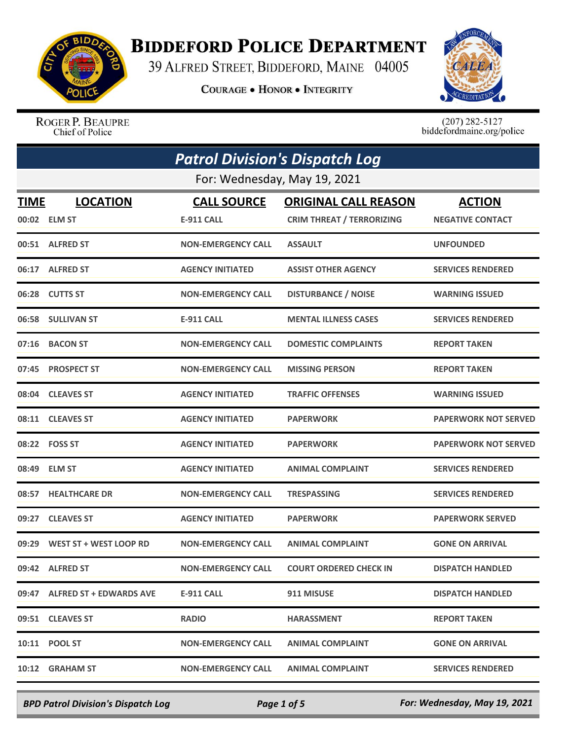

## **BIDDEFORD POLICE DEPARTMENT**

39 ALFRED STREET, BIDDEFORD, MAINE 04005

**COURAGE . HONOR . INTEGRITY** 



ROGER P. BEAUPRE Chief of Police

 $(207)$  282-5127<br>biddefordmaine.org/police

| <b>Patrol Division's Dispatch Log</b> |                                 |                                  |                                                                 |                                          |  |
|---------------------------------------|---------------------------------|----------------------------------|-----------------------------------------------------------------|------------------------------------------|--|
| For: Wednesday, May 19, 2021          |                                 |                                  |                                                                 |                                          |  |
| <b>TIME</b>                           | <b>LOCATION</b><br>00:02 ELM ST | <b>CALL SOURCE</b><br>E-911 CALL | <b>ORIGINAL CALL REASON</b><br><b>CRIM THREAT / TERRORIZING</b> | <b>ACTION</b><br><b>NEGATIVE CONTACT</b> |  |
|                                       | 00:51 ALFRED ST                 | <b>NON-EMERGENCY CALL</b>        | <b>ASSAULT</b>                                                  | <b>UNFOUNDED</b>                         |  |
|                                       | 06:17 ALFRED ST                 | <b>AGENCY INITIATED</b>          | <b>ASSIST OTHER AGENCY</b>                                      | <b>SERVICES RENDERED</b>                 |  |
| 06:28                                 | <b>CUTTS ST</b>                 | <b>NON-EMERGENCY CALL</b>        | <b>DISTURBANCE / NOISE</b>                                      | <b>WARNING ISSUED</b>                    |  |
| 06:58                                 | <b>SULLIVAN ST</b>              | <b>E-911 CALL</b>                | <b>MENTAL ILLNESS CASES</b>                                     | <b>SERVICES RENDERED</b>                 |  |
| 07:16                                 | <b>BACON ST</b>                 | <b>NON-EMERGENCY CALL</b>        | <b>DOMESTIC COMPLAINTS</b>                                      | <b>REPORT TAKEN</b>                      |  |
| 07:45                                 | <b>PROSPECT ST</b>              | <b>NON-EMERGENCY CALL</b>        | <b>MISSING PERSON</b>                                           | <b>REPORT TAKEN</b>                      |  |
| 08:04                                 | <b>CLEAVES ST</b>               | <b>AGENCY INITIATED</b>          | <b>TRAFFIC OFFENSES</b>                                         | <b>WARNING ISSUED</b>                    |  |
| 08:11                                 | <b>CLEAVES ST</b>               | <b>AGENCY INITIATED</b>          | <b>PAPERWORK</b>                                                | <b>PAPERWORK NOT SERVED</b>              |  |
|                                       | 08:22    FOSS ST                | <b>AGENCY INITIATED</b>          | <b>PAPERWORK</b>                                                | <b>PAPERWORK NOT SERVED</b>              |  |
| 08:49                                 | <b>ELM ST</b>                   | <b>AGENCY INITIATED</b>          | <b>ANIMAL COMPLAINT</b>                                         | <b>SERVICES RENDERED</b>                 |  |
| 08:57                                 | <b>HEALTHCARE DR</b>            | <b>NON-EMERGENCY CALL</b>        | <b>TRESPASSING</b>                                              | <b>SERVICES RENDERED</b>                 |  |
| 09:27                                 | <b>CLEAVES ST</b>               | <b>AGENCY INITIATED</b>          | <b>PAPERWORK</b>                                                | <b>PAPERWORK SERVED</b>                  |  |
| 09:29                                 | WEST ST + WEST LOOP RD          | <b>NON-EMERGENCY CALL</b>        | <b>ANIMAL COMPLAINT</b>                                         | <b>GONE ON ARRIVAL</b>                   |  |
|                                       | 09:42 ALFRED ST                 | <b>NON-EMERGENCY CALL</b>        | <b>COURT ORDERED CHECK IN</b>                                   | <b>DISPATCH HANDLED</b>                  |  |
|                                       | 09:47 ALFRED ST + EDWARDS AVE   | <b>E-911 CALL</b>                | 911 MISUSE                                                      | <b>DISPATCH HANDLED</b>                  |  |
|                                       | 09:51 CLEAVES ST                | <b>RADIO</b>                     | <b>HARASSMENT</b>                                               | <b>REPORT TAKEN</b>                      |  |
|                                       | 10:11 POOL ST                   | <b>NON-EMERGENCY CALL</b>        | <b>ANIMAL COMPLAINT</b>                                         | <b>GONE ON ARRIVAL</b>                   |  |
|                                       | 10:12 GRAHAM ST                 | <b>NON-EMERGENCY CALL</b>        | <b>ANIMAL COMPLAINT</b>                                         | <b>SERVICES RENDERED</b>                 |  |

*BPD Patrol Division's Dispatch Log Page 1 of 5 For: Wednesday, May 19, 2021*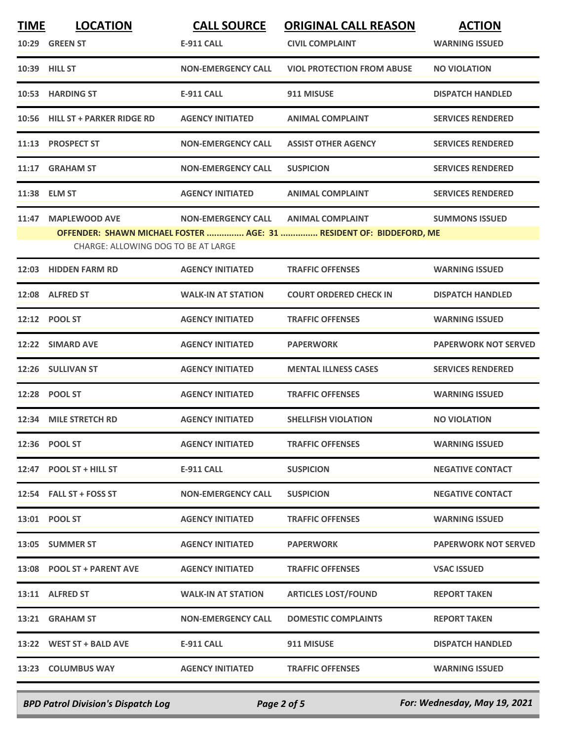| <b>TIME</b> | <b>LOCATION</b>                                             | <b>CALL SOURCE</b>        | <b>ORIGINAL CALL REASON</b>                                                                    | <b>ACTION</b>               |
|-------------|-------------------------------------------------------------|---------------------------|------------------------------------------------------------------------------------------------|-----------------------------|
|             | 10:29 GREEN ST                                              | <b>E-911 CALL</b>         | <b>CIVIL COMPLAINT</b>                                                                         | <b>WARNING ISSUED</b>       |
|             | 10:39 HILL ST                                               | <b>NON-EMERGENCY CALL</b> | <b>VIOL PROTECTION FROM ABUSE</b>                                                              | <b>NO VIOLATION</b>         |
|             | 10:53 HARDING ST                                            | <b>E-911 CALL</b>         | 911 MISUSE                                                                                     | <b>DISPATCH HANDLED</b>     |
|             | 10:56 HILL ST + PARKER RIDGE RD                             | <b>AGENCY INITIATED</b>   | <b>ANIMAL COMPLAINT</b>                                                                        | <b>SERVICES RENDERED</b>    |
|             | 11:13 PROSPECT ST                                           | <b>NON-EMERGENCY CALL</b> | <b>ASSIST OTHER AGENCY</b>                                                                     | <b>SERVICES RENDERED</b>    |
|             | 11:17 GRAHAM ST                                             | <b>NON-EMERGENCY CALL</b> | <b>SUSPICION</b>                                                                               | <b>SERVICES RENDERED</b>    |
|             | 11:38 ELM ST                                                | <b>AGENCY INITIATED</b>   | <b>ANIMAL COMPLAINT</b>                                                                        | <b>SERVICES RENDERED</b>    |
| 11:47       | <b>MAPLEWOOD AVE</b><br>CHARGE: ALLOWING DOG TO BE AT LARGE | <b>NON-EMERGENCY CALL</b> | <b>ANIMAL COMPLAINT</b><br>OFFENDER: SHAWN MICHAEL FOSTER  AGE: 31  RESIDENT OF: BIDDEFORD, ME | <b>SUMMONS ISSUED</b>       |
|             | 12:03 HIDDEN FARM RD                                        | <b>AGENCY INITIATED</b>   | <b>TRAFFIC OFFENSES</b>                                                                        | <b>WARNING ISSUED</b>       |
|             | 12:08 ALFRED ST                                             | <b>WALK-IN AT STATION</b> | <b>COURT ORDERED CHECK IN</b>                                                                  | <b>DISPATCH HANDLED</b>     |
|             | 12:12 POOL ST                                               | <b>AGENCY INITIATED</b>   | <b>TRAFFIC OFFENSES</b>                                                                        | <b>WARNING ISSUED</b>       |
| 12:22       | <b>SIMARD AVE</b>                                           | <b>AGENCY INITIATED</b>   | <b>PAPERWORK</b>                                                                               | <b>PAPERWORK NOT SERVED</b> |
|             | 12:26 SULLIVAN ST                                           | <b>AGENCY INITIATED</b>   | <b>MENTAL ILLNESS CASES</b>                                                                    | <b>SERVICES RENDERED</b>    |
|             | 12:28 POOL ST                                               | <b>AGENCY INITIATED</b>   | <b>TRAFFIC OFFENSES</b>                                                                        | <b>WARNING ISSUED</b>       |
| 12:34       | <b>MILE STRETCH RD</b>                                      | <b>AGENCY INITIATED</b>   | <b>SHELLFISH VIOLATION</b>                                                                     | <b>NO VIOLATION</b>         |
|             | 12:36 POOL ST                                               | <b>AGENCY INITIATED</b>   | <b>TRAFFIC OFFENSES</b>                                                                        | <b>WARNING ISSUED</b>       |
|             | 12:47 POOL ST + HILL ST                                     | E-911 CALL                | <b>SUSPICION</b>                                                                               | <b>NEGATIVE CONTACT</b>     |
|             | 12:54 FALL ST + FOSS ST                                     | <b>NON-EMERGENCY CALL</b> | <b>SUSPICION</b>                                                                               | <b>NEGATIVE CONTACT</b>     |
|             | 13:01 POOL ST                                               | <b>AGENCY INITIATED</b>   | <b>TRAFFIC OFFENSES</b>                                                                        | <b>WARNING ISSUED</b>       |
|             | 13:05 SUMMER ST                                             | <b>AGENCY INITIATED</b>   | <b>PAPERWORK</b>                                                                               | <b>PAPERWORK NOT SERVED</b> |
|             | 13:08 POOL ST + PARENT AVE                                  | <b>AGENCY INITIATED</b>   | <b>TRAFFIC OFFENSES</b>                                                                        | <b>VSAC ISSUED</b>          |
|             | 13:11 ALFRED ST                                             | <b>WALK-IN AT STATION</b> | <b>ARTICLES LOST/FOUND</b>                                                                     | <b>REPORT TAKEN</b>         |
|             | 13:21 GRAHAM ST                                             | <b>NON-EMERGENCY CALL</b> | <b>DOMESTIC COMPLAINTS</b>                                                                     | <b>REPORT TAKEN</b>         |
|             | 13:22 WEST ST + BALD AVE                                    | E-911 CALL                | 911 MISUSE                                                                                     | <b>DISPATCH HANDLED</b>     |
|             | 13:23 COLUMBUS WAY                                          | <b>AGENCY INITIATED</b>   | <b>TRAFFIC OFFENSES</b>                                                                        | <b>WARNING ISSUED</b>       |
|             |                                                             |                           |                                                                                                |                             |

*BPD Patrol Division's Dispatch Log Page 2 of 5 For: Wednesday, May 19, 2021*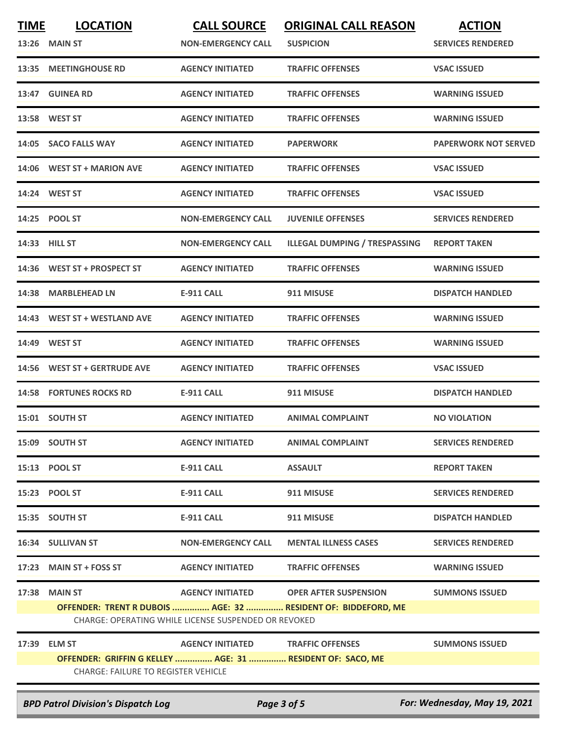| <b>TIME</b> | <b>LOCATION</b>                                            | <b>CALL SOURCE</b>                                   | <b>ORIGINAL CALL REASON</b>                                   | <b>ACTION</b>                |
|-------------|------------------------------------------------------------|------------------------------------------------------|---------------------------------------------------------------|------------------------------|
| 13:26       | <b>MAIN ST</b>                                             | <b>NON-EMERGENCY CALL</b>                            | <b>SUSPICION</b>                                              | <b>SERVICES RENDERED</b>     |
| 13:35       | <b>MEETINGHOUSE RD</b>                                     | <b>AGENCY INITIATED</b>                              | <b>TRAFFIC OFFENSES</b>                                       | <b>VSAC ISSUED</b>           |
|             | 13:47 GUINEA RD                                            | <b>AGENCY INITIATED</b>                              | <b>TRAFFIC OFFENSES</b>                                       | <b>WARNING ISSUED</b>        |
|             | 13:58 WEST ST                                              | <b>AGENCY INITIATED</b>                              | <b>TRAFFIC OFFENSES</b>                                       | <b>WARNING ISSUED</b>        |
| 14:05       | <b>SACO FALLS WAY</b>                                      | <b>AGENCY INITIATED</b>                              | <b>PAPERWORK</b>                                              | <b>PAPERWORK NOT SERVED</b>  |
|             | 14:06 WEST ST + MARION AVE                                 | <b>AGENCY INITIATED</b>                              | <b>TRAFFIC OFFENSES</b>                                       | <b>VSAC ISSUED</b>           |
| 14:24       | <b>WEST ST</b>                                             | <b>AGENCY INITIATED</b>                              | <b>TRAFFIC OFFENSES</b>                                       | <b>VSAC ISSUED</b>           |
|             | 14:25 POOL ST                                              | <b>NON-EMERGENCY CALL</b>                            | <b>JUVENILE OFFENSES</b>                                      | <b>SERVICES RENDERED</b>     |
| 14:33       | <b>HILL ST</b>                                             | <b>NON-EMERGENCY CALL</b>                            | <b>ILLEGAL DUMPING / TRESPASSING</b>                          | <b>REPORT TAKEN</b>          |
|             | 14:36 WEST ST + PROSPECT ST                                | <b>AGENCY INITIATED</b>                              | <b>TRAFFIC OFFENSES</b>                                       | <b>WARNING ISSUED</b>        |
| 14:38       | <b>MARBLEHEAD LN</b>                                       | <b>E-911 CALL</b>                                    | 911 MISUSE                                                    | <b>DISPATCH HANDLED</b>      |
| 14:43       | <b>WEST ST + WESTLAND AVE</b>                              | <b>AGENCY INITIATED</b>                              | <b>TRAFFIC OFFENSES</b>                                       | <b>WARNING ISSUED</b>        |
| 14:49       | <b>WEST ST</b>                                             | <b>AGENCY INITIATED</b>                              | <b>TRAFFIC OFFENSES</b>                                       | <b>WARNING ISSUED</b>        |
| 14:56       | <b>WEST ST + GERTRUDE AVE</b>                              | <b>AGENCY INITIATED</b>                              | <b>TRAFFIC OFFENSES</b>                                       | <b>VSAC ISSUED</b>           |
|             | <b>14:58 FORTUNES ROCKS RD</b>                             | <b>E-911 CALL</b>                                    | 911 MISUSE                                                    | <b>DISPATCH HANDLED</b>      |
|             | 15:01 SOUTH ST                                             | <b>AGENCY INITIATED</b>                              | <b>ANIMAL COMPLAINT</b>                                       | <b>NO VIOLATION</b>          |
|             | 15:09 SOUTH ST                                             | <b>AGENCY INITIATED</b>                              | <b>ANIMAL COMPLAINT</b>                                       | <b>SERVICES RENDERED</b>     |
|             | 15:13 POOL ST                                              | <b>E-911 CALL</b>                                    | <b>ASSAULT</b>                                                | <b>REPORT TAKEN</b>          |
|             | 15:23 POOL ST                                              | <b>E-911 CALL</b>                                    | 911 MISUSE                                                    | <b>SERVICES RENDERED</b>     |
|             | 15:35 SOUTH ST                                             | <b>E-911 CALL</b>                                    | 911 MISUSE                                                    | <b>DISPATCH HANDLED</b>      |
|             | 16:34 SULLIVAN ST                                          | <b>NON-EMERGENCY CALL</b>                            | <b>MENTAL ILLNESS CASES</b>                                   | <b>SERVICES RENDERED</b>     |
|             | 17:23 MAIN ST + FOSS ST                                    | <b>AGENCY INITIATED</b>                              | <b>TRAFFIC OFFENSES</b>                                       | <b>WARNING ISSUED</b>        |
|             | <b>17:38 MAIN ST</b>                                       | <b>AGENCY INITIATED</b>                              | <b>OPER AFTER SUSPENSION</b>                                  | <b>SUMMONS ISSUED</b>        |
|             |                                                            | CHARGE: OPERATING WHILE LICENSE SUSPENDED OR REVOKED | OFFENDER: TRENT R DUBOIS  AGE: 32  RESIDENT OF: BIDDEFORD, ME |                              |
| 17:39       | <b>ELM ST</b>                                              | <b>AGENCY INITIATED</b>                              | <b>TRAFFIC OFFENSES</b>                                       | <b>SUMMONS ISSUED</b>        |
|             | OFFENDER: GRIFFIN G KELLEY  AGE: 31  RESIDENT OF: SACO, ME |                                                      |                                                               |                              |
|             | <b>CHARGE: FAILURE TO REGISTER VEHICLE</b>                 |                                                      |                                                               |                              |
|             | <b>BPD Patrol Division's Dispatch Log</b>                  |                                                      | Page 3 of 5                                                   | For: Wednesday, May 19, 2021 |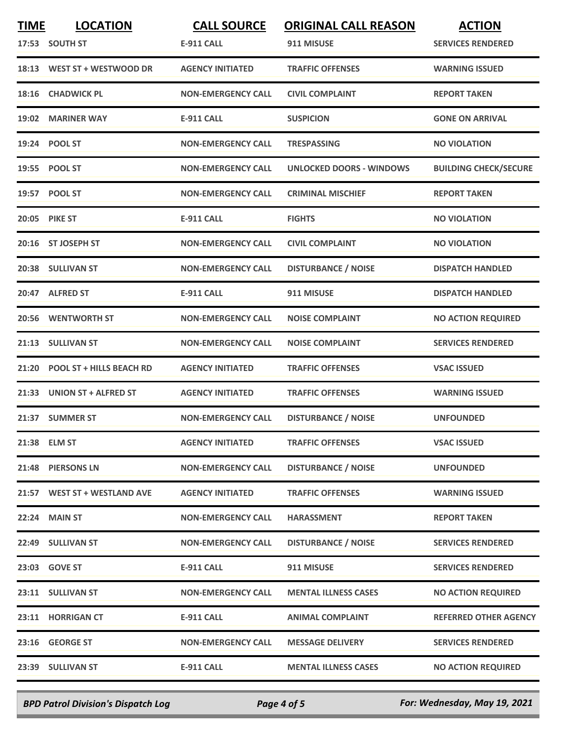| <b>TIME</b> | <b>LOCATION</b>                 | <b>CALL SOURCE</b>        | <b>ORIGINAL CALL REASON</b>     | <b>ACTION</b>                |
|-------------|---------------------------------|---------------------------|---------------------------------|------------------------------|
|             | 17:53 SOUTH ST                  | <b>E-911 CALL</b>         | 911 MISUSE                      | <b>SERVICES RENDERED</b>     |
|             | 18:13 WEST ST + WESTWOOD DR     | <b>AGENCY INITIATED</b>   | <b>TRAFFIC OFFENSES</b>         | <b>WARNING ISSUED</b>        |
| 18:16       | <b>CHADWICK PL</b>              | <b>NON-EMERGENCY CALL</b> | <b>CIVIL COMPLAINT</b>          | <b>REPORT TAKEN</b>          |
| 19:02       | <b>MARINER WAY</b>              | <b>E-911 CALL</b>         | <b>SUSPICION</b>                | <b>GONE ON ARRIVAL</b>       |
|             | 19:24 POOL ST                   | <b>NON-EMERGENCY CALL</b> | <b>TRESPASSING</b>              | <b>NO VIOLATION</b>          |
|             | 19:55 POOL ST                   | <b>NON-EMERGENCY CALL</b> | <b>UNLOCKED DOORS - WINDOWS</b> | <b>BUILDING CHECK/SECURE</b> |
|             | 19:57 POOL ST                   | <b>NON-EMERGENCY CALL</b> | <b>CRIMINAL MISCHIEF</b>        | <b>REPORT TAKEN</b>          |
|             | 20:05 PIKE ST                   | <b>E-911 CALL</b>         | <b>FIGHTS</b>                   | <b>NO VIOLATION</b>          |
|             | 20:16 ST JOSEPH ST              | <b>NON-EMERGENCY CALL</b> | <b>CIVIL COMPLAINT</b>          | <b>NO VIOLATION</b>          |
|             | 20:38 SULLIVAN ST               | <b>NON-EMERGENCY CALL</b> | <b>DISTURBANCE / NOISE</b>      | <b>DISPATCH HANDLED</b>      |
|             | 20:47 ALFRED ST                 | <b>E-911 CALL</b>         | 911 MISUSE                      | <b>DISPATCH HANDLED</b>      |
|             | 20:56 WENTWORTH ST              | <b>NON-EMERGENCY CALL</b> | <b>NOISE COMPLAINT</b>          | <b>NO ACTION REQUIRED</b>    |
| 21:13       | <b>SULLIVAN ST</b>              | <b>NON-EMERGENCY CALL</b> | <b>NOISE COMPLAINT</b>          | <b>SERVICES RENDERED</b>     |
| 21:20       | <b>POOL ST + HILLS BEACH RD</b> | <b>AGENCY INITIATED</b>   | <b>TRAFFIC OFFENSES</b>         | <b>VSAC ISSUED</b>           |
|             | 21:33 UNION ST + ALFRED ST      | <b>AGENCY INITIATED</b>   | <b>TRAFFIC OFFENSES</b>         | <b>WARNING ISSUED</b>        |
| 21:37       | <b>SUMMER ST</b>                | <b>NON-EMERGENCY CALL</b> | <b>DISTURBANCE / NOISE</b>      | <b>UNFOUNDED</b>             |
|             | 21:38 ELM ST                    | <b>AGENCY INITIATED</b>   | <b>TRAFFIC OFFENSES</b>         | <b>VSAC ISSUED</b>           |
|             | 21:48 PIERSONS LN               | <b>NON-EMERGENCY CALL</b> | <b>DISTURBANCE / NOISE</b>      | <b>UNFOUNDED</b>             |
|             | 21:57 WEST ST + WESTLAND AVE    | <b>AGENCY INITIATED</b>   | <b>TRAFFIC OFFENSES</b>         | <b>WARNING ISSUED</b>        |
|             | 22:24 MAIN ST                   | <b>NON-EMERGENCY CALL</b> | <b>HARASSMENT</b>               | <b>REPORT TAKEN</b>          |
|             | 22:49 SULLIVAN ST               | <b>NON-EMERGENCY CALL</b> | <b>DISTURBANCE / NOISE</b>      | <b>SERVICES RENDERED</b>     |
|             | 23:03 GOVE ST                   | <b>E-911 CALL</b>         | 911 MISUSE                      | <b>SERVICES RENDERED</b>     |
|             | 23:11 SULLIVAN ST               | <b>NON-EMERGENCY CALL</b> | <b>MENTAL ILLNESS CASES</b>     | <b>NO ACTION REQUIRED</b>    |
|             | 23:11 HORRIGAN CT               | <b>E-911 CALL</b>         | <b>ANIMAL COMPLAINT</b>         | <b>REFERRED OTHER AGENCY</b> |
|             | 23:16 GEORGE ST                 | <b>NON-EMERGENCY CALL</b> | <b>MESSAGE DELIVERY</b>         | <b>SERVICES RENDERED</b>     |
|             | 23:39 SULLIVAN ST               | <b>E-911 CALL</b>         | <b>MENTAL ILLNESS CASES</b>     | <b>NO ACTION REQUIRED</b>    |

*BPD Patrol Division's Dispatch Log Page 4 of 5 For: Wednesday, May 19, 2021*